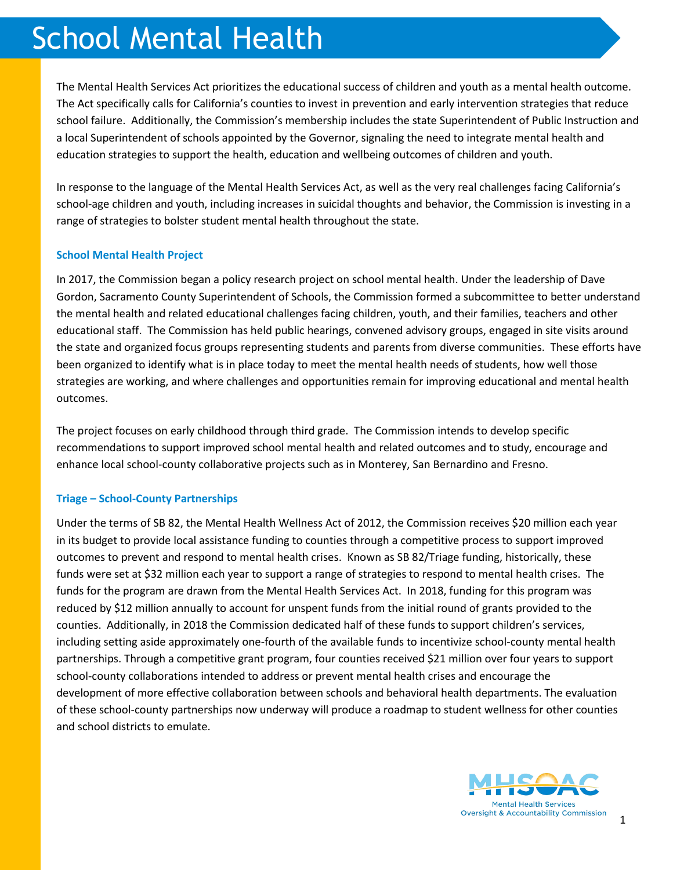# School Mental Health

The Mental Health Services Act prioritizes the educational success of children and youth as a mental health outcome. The Act specifically calls for California's counties to invest in prevention and early intervention strategies that reduce school failure. Additionally, the Commission's membership includes the state Superintendent of Public Instruction and a local Superintendent of schools appointed by the Governor, signaling the need to integrate mental health and education strategies to support the health, education and wellbeing outcomes of children and youth.

In response to the language of the Mental Health Services Act, as well as the very real challenges facing California's school-age children and youth, including increases in suicidal thoughts and behavior, the Commission is investing in a range of strategies to bolster student mental health throughout the state.

## **School Mental Health Project**

In 2017, the Commission began a policy research project on school mental health. Under the leadership of Dave Gordon, Sacramento County Superintendent of Schools, the Commission formed a subcommittee to better understand the mental health and related educational challenges facing children, youth, and their families, teachers and other educational staff. The Commission has held public hearings, convened advisory groups, engaged in site visits around the state and organized focus groups representing students and parents from diverse communities. These efforts have been organized to identify what is in place today to meet the mental health needs of students, how well those strategies are working, and where challenges and opportunities remain for improving educational and mental health outcomes.

The project focuses on early childhood through third grade. The Commission intends to develop specific recommendations to support improved school mental health and related outcomes and to study, encourage and enhance local school-county collaborative projects such as in Monterey, San Bernardino and Fresno.

## **Triage – School-County Partnerships**

Under the terms of SB 82, the Mental Health Wellness Act of 2012, the Commission receives \$20 million each year in its budget to provide local assistance funding to counties through a competitive process to support improved outcomes to prevent and respond to mental health crises. Known as SB 82/Triage funding, historically, these funds were set at \$32 million each year to support a range of strategies to respond to mental health crises. The funds for the program are drawn from the Mental Health Services Act. In 2018, funding for this program was reduced by \$12 million annually to account for unspent funds from the initial round of grants provided to the counties. Additionally, in 2018 the Commission dedicated half of these funds to support children's services, including setting aside approximately one-fourth of the available funds to incentivize school-county mental health partnerships. Through a competitive grant program, four counties received \$21 million over four years to support school-county collaborations intended to address or prevent mental health crises and encourage the development of more effective collaboration between schools and behavioral health departments. The evaluation of these school-county partnerships now underway will produce a roadmap to student wellness for other counties and school districts to emulate.

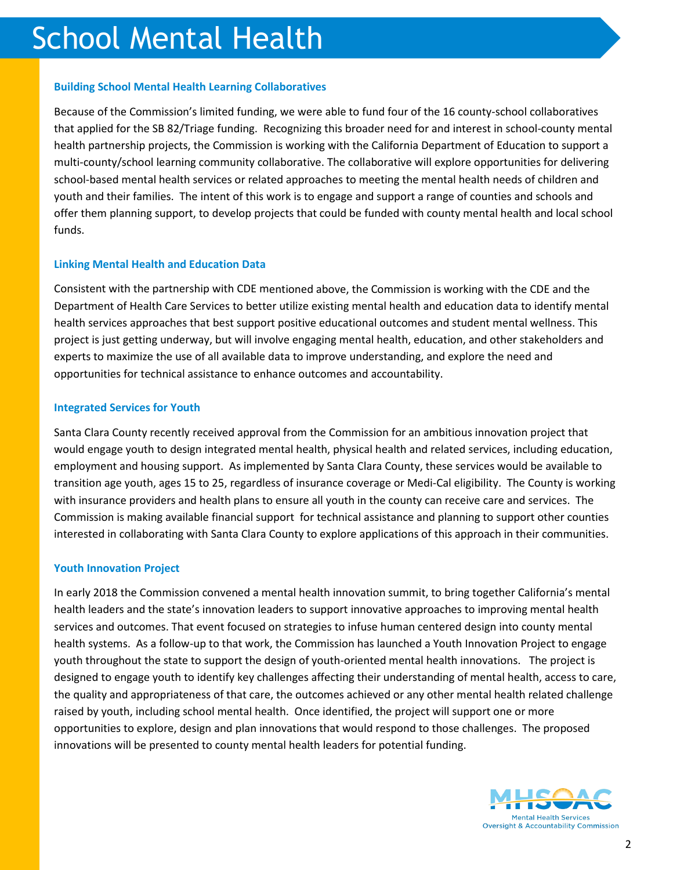## **Building School Mental Health Learning Collaboratives**

Because of the Commission's limited funding, we were able to fund four of the 16 county-school collaboratives that applied for the SB 82/Triage funding. Recognizing this broader need for and interest in school-county mental health partnership projects, the Commission is working with the California Department of Education to support a multi-county/school learning community collaborative. The collaborative will explore opportunities for delivering school-based mental health services or related approaches to meeting the mental health needs of children and youth and their families. The intent of this work is to engage and support a range of counties and schools and offer them planning support, to develop projects that could be funded with county mental health and local school funds.

# **Linking Mental Health and Education Data**

Consistent with the partnership with CDE mentioned above, the Commission is working with the CDE and the Department of Health Care Services to better utilize existing mental health and education data to identify mental health services approaches that best support positive educational outcomes and student mental wellness. This project is just getting underway, but will involve engaging mental health, education, and other stakeholders and experts to maximize the use of all available data to improve understanding, and explore the need and opportunities for technical assistance to enhance outcomes and accountability.

# **Integrated Services for Youth**

Santa Clara County recently received approval from the Commission for an ambitious innovation project that would engage youth to design integrated mental health, physical health and related services, including education, employment and housing support. As implemented by Santa Clara County, these services would be available to transition age youth, ages 15 to 25, regardless of insurance coverage or Medi-Cal eligibility. The County is working with insurance providers and health plans to ensure all youth in the county can receive care and services. The Commission is making available financial support for technical assistance and planning to support other counties interested in collaborating with Santa Clara County to explore applications of this approach in their communities.

## **Youth Innovation Project**

In early 2018 the Commission convened a mental health innovation summit, to bring together California's mental health leaders and the state's innovation leaders to support innovative approaches to improving mental health services and outcomes. That event focused on strategies to infuse human centered design into county mental health systems. As a follow-up to that work, the Commission has launched a Youth Innovation Project to engage youth throughout the state to support the design of youth-oriented mental health innovations. The project is designed to engage youth to identify key challenges affecting their understanding of mental health, access to care, the quality and appropriateness of that care, the outcomes achieved or any other mental health related challenge raised by youth, including school mental health. Once identified, the project will support one or more opportunities to explore, design and plan innovations that would respond to those challenges. The proposed innovations will be presented to county mental health leaders for potential funding.